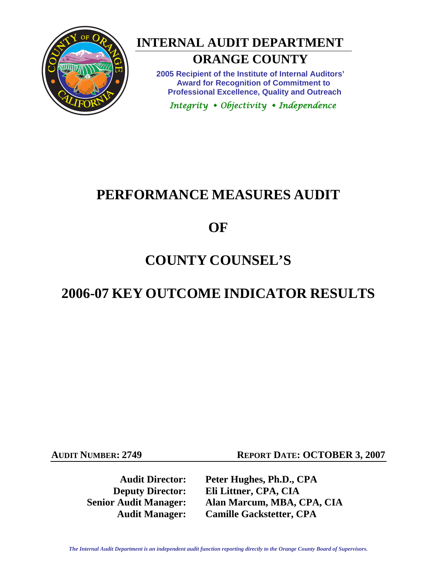

# **INTERNAL AUDIT DEPARTMENT**

# **ORANGE COUNTY**

**2005 Recipient of the Institute of Internal Auditors' Award for Recognition of Commitment to Professional Excellence, Quality and Outreach** 

 *Integrity Objectivity Independence*

# **PERFORMANCE MEASURES AUDIT**

# **OF**

# **COUNTY COUNSEL'S**

# **2006-07 KEY OUTCOME INDICATOR RESULTS**

**AUDIT NUMBER: 2749 REPORT DATE: OCTOBER 3, 2007** 

**Audit Director: Peter Hughes, Ph.D., CPA Deputy Director: Eli Littner, CPA, CIA Senior Audit Manager: Alan Marcum, MBA, CPA, CIA Audit Manager: Camille Gackstetter, CPA**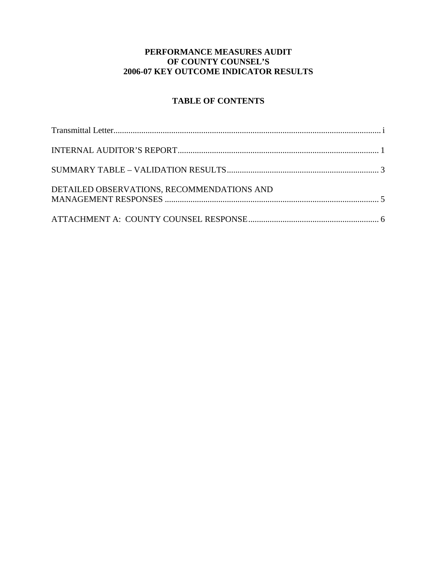# **PERFORMANCE MEASURES AUDIT OF COUNTY COUNSEL'S 2006-07 KEY OUTCOME INDICATOR RESULTS**

# **TABLE OF CONTENTS**

| DETAILED OBSERVATIONS, RECOMMENDATIONS AND |  |
|--------------------------------------------|--|
|                                            |  |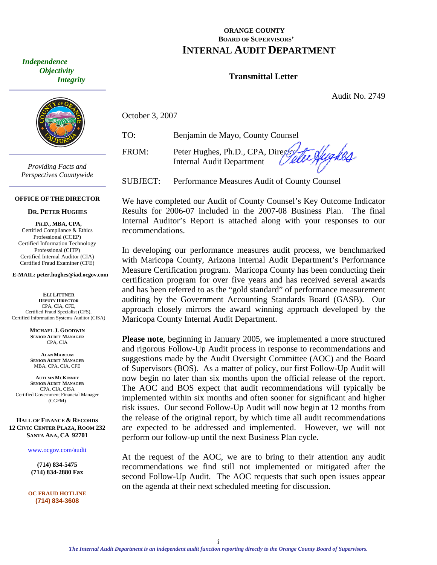<span id="page-2-0"></span> *Independence Objectivity Integrity* 



*Providing Facts and Perspectives Countywide* 

#### **OFFICE OF THE DIRECTOR**

#### **DR. PETER HUGHES**

**PH.D., MBA, CPA,**  Certified Compliance & Ethics Professional (CCEP) Certified Information Technology Professional (CITP) Certified Internal Auditor (CIA) Certified Fraud Examiner (CFE)

**E-MAIL: peter.hughes@iad.ocgov.com** 

**ELI LITTNER DEPUTY DIRECTOR** CPA, CIA, CFE, Certified Fraud Specialist (CFS), Certified Information Systems Auditor (CISA)

> **MICHAEL J. GOODWIN SENIOR AUDIT MANAGER** CPA, CIA

**ALAN MARCUM SENIOR AUDIT MANAGER** MBA, CPA, CIA, CFE

**AUTUMN MCKINNEY SENIOR AUDIT MANAGER** CPA, CIA, CISA Certified Government Financial Manager (CGFM)

**HALL OF FINANCE & RECORDS 12 CIVIC CENTER PLAZA, ROOM 232 SANTA ANA, CA 92701** 

www.ocgov.com/audit

**(714) 834-5475 (714) 834-2880 Fax** 

**OC FRAUD HOTLINE (714) 834-3608** 

### **ORANGE COUNTY BOARD OF SUPERVISORS' INTERNAL AUDIT DEPARTMENT**

### **Transmittal Letter**

Audit No. 2749

October 3, 2007

TO: Benjamin de Mayo, County Counsel

te Hygkes FROM: Peter Hughes, Ph.D., CPA, Director Internal Audit Department

SUBJECT: Performance Measures Audit of County Counsel

We have completed our Audit of County Counsel's Key Outcome Indicator Results for 2006-07 included in the 2007-08 Business Plan. The final Internal Auditor's Report is attached along with your responses to our recommendations.

In developing our performance measures audit process, we benchmarked with Maricopa County, Arizona Internal Audit Department's Performance Measure Certification program. Maricopa County has been conducting their certification program for over five years and has received several awards and has been referred to as the "gold standard" of performance measurement auditing by the Government Accounting Standards Board (GASB). Our approach closely mirrors the award winning approach developed by the Maricopa County Internal Audit Department.

**Please note**, beginning in January 2005, we implemented a more structured and rigorous Follow-Up Audit process in response to recommendations and suggestions made by the Audit Oversight Committee (AOC) and the Board of Supervisors (BOS). As a matter of policy, our first Follow-Up Audit will now begin no later than six months upon the official release of the report. The AOC and BOS expect that audit recommendations will typically be implemented within six months and often sooner for significant and higher risk issues. Our second Follow-Up Audit will now begin at 12 months from the release of the original report, by which time all audit recommendations are expected to be addressed and implemented. However, we will not perform our follow-up until the next Business Plan cycle.

At the request of the AOC, we are to bring to their attention any audit recommendations we find still not implemented or mitigated after the second Follow-Up Audit. The AOC requests that such open issues appear on the agenda at their next scheduled meeting for discussion.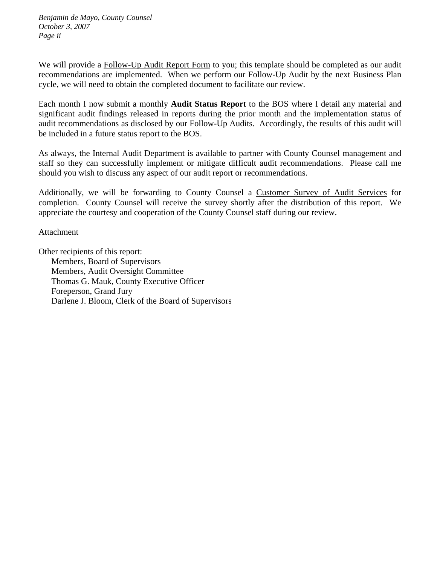*Benjamin de Mayo, County Counsel October 3, 2007 Page ii* 

We will provide a Follow-Up Audit Report Form to you; this template should be completed as our audit recommendations are implemented. When we perform our Follow-Up Audit by the next Business Plan cycle, we will need to obtain the completed document to facilitate our review.

Each month I now submit a monthly **Audit Status Report** to the BOS where I detail any material and significant audit findings released in reports during the prior month and the implementation status of audit recommendations as disclosed by our Follow-Up Audits. Accordingly, the results of this audit will be included in a future status report to the BOS.

As always, the Internal Audit Department is available to partner with County Counsel management and staff so they can successfully implement or mitigate difficult audit recommendations. Please call me should you wish to discuss any aspect of our audit report or recommendations.

Additionally, we will be forwarding to County Counsel a Customer Survey of Audit Services for completion. County Counsel will receive the survey shortly after the distribution of this report. We appreciate the courtesy and cooperation of the County Counsel staff during our review.

Attachment

Other recipients of this report: Members, Board of Supervisors Members, Audit Oversight Committee Thomas G. Mauk, County Executive Officer Foreperson, Grand Jury Darlene J. Bloom, Clerk of the Board of Supervisors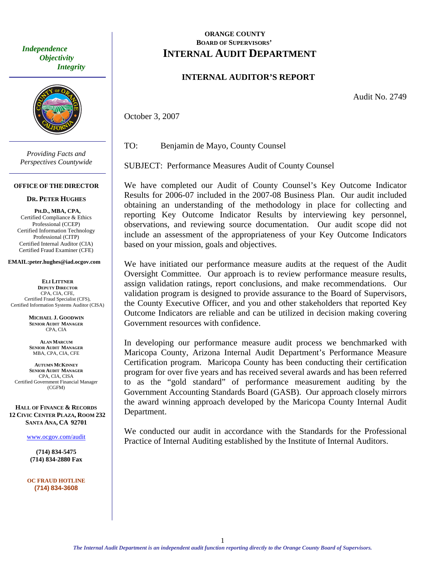*Integrity <u>Objectivity</u>* 



*Providing Facts and Perspectives Countywide* 

#### **OFFICE OF THE DIRECTOR**

#### **DR. PETER HUGHES**

**PH.D., MBA, CPA,**  Certified Compliance & Ethics Professional (CCEP) Certified Information Technology Professional (CITP) Certified Internal Auditor (CIA) Certified Fraud Examiner (CFE)

#### **EMAIL:peter.hughes@iad.ocgov.com**

**ELI LITTNER DEPUTY DIRECTOR** CPA, CIA, CFE, Certified Fraud Specialist (CFS), Certified Information Systems Auditor (CISA)

> **MICHAEL J. GOODWIN SENIOR AUDIT MANAGER** CPA, CIA

**ALAN MARCUM SENIOR AUDIT MANAGER** MBA, CPA, CIA, CFE

**AUTUMN MCKINNEY SENIOR AUDIT MANAGER** CPA, CIA, CISA Certified Government Financial Manager (CGFM)

**HALL OF FINANCE & RECORDS 12 CIVIC CENTER PLAZA, ROOM 232 SANTA ANA, CA 92701** 

www.ocgov.com/audit

**(714) 834-5475 (714) 834-2880 Fax** 

**OC FRAUD HOTLINE (714) 834-3608** 

### <span id="page-4-0"></span>**ORANGE COUNTY EXAMPLE REPORT OF SUPERVISORS' Independence INTERNAL A LINIT DEDA Independence INTERNAL AUDIT DEPARTMENT**

### **INTERNAL AUDITOR'S REPORT**

Audit No. 2749

October 3, 2007

TO: Benjamin de Mayo, County Counsel

SUBJECT: Performance Measures Audit of County Counsel

We have completed our Audit of County Counsel's Key Outcome Indicator Results for 2006-07 included in the 2007-08 Business Plan. Our audit included obtaining an understanding of the methodology in place for collecting and reporting Key Outcome Indicator Results by interviewing key personnel, observations, and reviewing source documentation. Our audit scope did not include an assessment of the appropriateness of your Key Outcome Indicators based on your mission, goals and objectives.

We have initiated our performance measure audits at the request of the Audit Oversight Committee. Our approach is to review performance measure results, assign validation ratings, report conclusions, and make recommendations. Our validation program is designed to provide assurance to the Board of Supervisors, the County Executive Officer, and you and other stakeholders that reported Key Outcome Indicators are reliable and can be utilized in decision making covering Government resources with confidence.

In developing our performance measure audit process we benchmarked with Maricopa County, Arizona Internal Audit Department's Performance Measure Certification program. Maricopa County has been conducting their certification program for over five years and has received several awards and has been referred to as the "gold standard" of performance measurement auditing by the Government Accounting Standards Board (GASB). Our approach closely mirrors the award winning approach developed by the Maricopa County Internal Audit Department.

We conducted our audit in accordance with the Standards for the Professional Practice of Internal Auditing established by the Institute of Internal Auditors.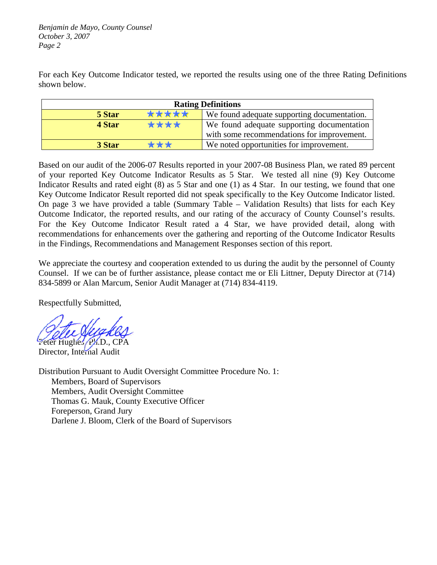*Benjamin de Mayo, County Counsel October 3, 2007 Page 2* 

For each Key Outcome Indicator tested, we reported the results using one of the three Rating Definitions shown below.

| <b>Rating Definitions</b> |                                             |  |  |  |  |  |  |
|---------------------------|---------------------------------------------|--|--|--|--|--|--|
| *****<br>5 Star           | We found adequate supporting documentation. |  |  |  |  |  |  |
| ****<br>4 Star            | We found adequate supporting documentation  |  |  |  |  |  |  |
|                           | with some recommendations for improvement.  |  |  |  |  |  |  |
| ***<br>3 Star             | We noted opportunities for improvement.     |  |  |  |  |  |  |

Based on our audit of the 2006-07 Results reported in your 2007-08 Business Plan, we rated 89 percent of your reported Key Outcome Indicator Results as 5 Star. We tested all nine (9) Key Outcome Indicator Results and rated eight (8) as 5 Star and one (1) as 4 Star. In our testing, we found that one Key Outcome Indicator Result reported did not speak specifically to the Key Outcome Indicator listed. On page 3 we have provided a table (Summary Table – Validation Results) that lists for each Key Outcome Indicator, the reported results, and our rating of the accuracy of County Counsel's results. For the Key Outcome Indicator Result rated a 4 Star, we have provided detail, along with recommendations for enhancements over the gathering and reporting of the Outcome Indicator Results in the Findings, Recommendations and Management Responses section of this report.

We appreciate the courtesy and cooperation extended to us during the audit by the personnel of County Counsel. If we can be of further assistance, please contact me or Eli Littner, Deputy Director at (714) 834-5899 or Alan Marcum, Senior Audit Manager at (714) 834-4119.

Respectfully Submitted,

Peter Hughes, PAD., CPA Director, Internal Audit

Distribution Pursuant to Audit Oversight Committee Procedure No. 1: Members, Board of Supervisors Members, Audit Oversight Committee Thomas G. Mauk, County Executive Officer Foreperson, Grand Jury Darlene J. Bloom, Clerk of the Board of Supervisors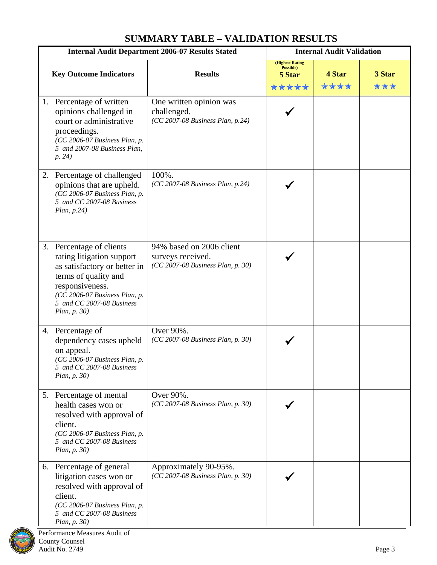# **SUMMARY TABLE – VALIDATION RESULTS**

<span id="page-6-0"></span>

| <b>Internal Audit Department 2006-07 Results Stated</b> |                                                                                                                                                                                                                | <b>Internal Audit Validation</b>                                                   |                                                         |                |               |
|---------------------------------------------------------|----------------------------------------------------------------------------------------------------------------------------------------------------------------------------------------------------------------|------------------------------------------------------------------------------------|---------------------------------------------------------|----------------|---------------|
|                                                         | <b>Key Outcome Indicators</b>                                                                                                                                                                                  | <b>Results</b>                                                                     | <b>(Highest Rating)</b><br>Possible)<br>5 Star<br>***** | 4 Star<br>**** | 3 Star<br>*** |
|                                                         | 1. Percentage of written<br>opinions challenged in<br>court or administrative<br>proceedings.<br>(CC 2006-07 Business Plan, p.<br>5 and 2007-08 Business Plan,<br>p. 24)                                       | One written opinion was<br>challenged.<br>(CC 2007-08 Business Plan, p.24)         |                                                         |                |               |
| 2.                                                      | Percentage of challenged<br>opinions that are upheld.<br>(CC 2006-07 Business Plan, p.<br>5 and CC 2007-08 Business<br>Plan, p.24)                                                                             | 100%.<br>(CC 2007-08 Business Plan, p.24)                                          |                                                         |                |               |
|                                                         | 3. Percentage of clients<br>rating litigation support<br>as satisfactory or better in<br>terms of quality and<br>responsiveness.<br>(CC 2006-07 Business Plan, p.<br>5 and CC 2007-08 Business<br>Plan, p. 30) | 94% based on 2006 client<br>surveys received.<br>(CC 2007-08 Business Plan, p. 30) |                                                         |                |               |
|                                                         | 4. Percentage of<br>dependency cases upheld<br>on appeal.<br>(CC 2006-07 Business Plan, p.<br>5 and CC 2007-08 Business<br>Plan, p. 30)                                                                        | Over 90%.<br>(CC 2007-08 Business Plan, p. 30)                                     |                                                         |                |               |
|                                                         | 5. Percentage of mental<br>health cases won or<br>resolved with approval of<br>client.<br>(CC 2006-07 Business Plan, p.<br>5 and CC 2007-08 Business<br>Plan, p. 30)                                           | Over 90%.<br>(CC 2007-08 Business Plan, p. 30)                                     |                                                         |                |               |
|                                                         | 6. Percentage of general<br>litigation cases won or<br>resolved with approval of<br>client.<br>(CC 2006-07 Business Plan, p.<br>5 and CC 2007-08 Business<br>Plan, p. 30)                                      | Approximately 90-95%.<br>(CC 2007-08 Business Plan, p. 30)                         |                                                         |                |               |

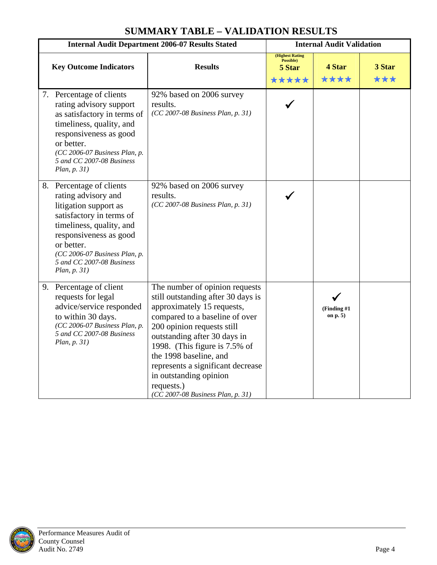| <b>Internal Audit Department 2006-07 Results Stated</b> |                                                                                                                                                                                                                                                        | <b>Internal Audit Validation</b>                                                                                                                                                                                                                                                                                                                                                |                                                        |                          |               |
|---------------------------------------------------------|--------------------------------------------------------------------------------------------------------------------------------------------------------------------------------------------------------------------------------------------------------|---------------------------------------------------------------------------------------------------------------------------------------------------------------------------------------------------------------------------------------------------------------------------------------------------------------------------------------------------------------------------------|--------------------------------------------------------|--------------------------|---------------|
|                                                         | <b>Key Outcome Indicators</b>                                                                                                                                                                                                                          | <b>Results</b>                                                                                                                                                                                                                                                                                                                                                                  | <b>(Highest Rating</b><br>Possible)<br>5 Star<br>***** | 4 Star<br>****           | 3 Star<br>*** |
|                                                         | 7. Percentage of clients<br>rating advisory support<br>as satisfactory in terms of<br>timeliness, quality, and<br>responsiveness as good<br>or better.<br>(CC 2006-07 Business Plan, p.<br>5 and CC 2007-08 Business<br>Plan, p. 31)                   | 92% based on 2006 survey<br>results.<br>(CC 2007-08 Business Plan, p. 31)                                                                                                                                                                                                                                                                                                       |                                                        |                          |               |
|                                                         | 8. Percentage of clients<br>rating advisory and<br>litigation support as<br>satisfactory in terms of<br>timeliness, quality, and<br>responsiveness as good<br>or better.<br>(CC 2006-07 Business Plan, p.<br>5 and CC 2007-08 Business<br>Plan, p. 31) | 92% based on 2006 survey<br>results.<br>(CC 2007-08 Business Plan, p. 31)                                                                                                                                                                                                                                                                                                       |                                                        |                          |               |
|                                                         | 9. Percentage of client<br>requests for legal<br>advice/service responded<br>to within 30 days.<br>(CC 2006-07 Business Plan, p.<br>5 and CC 2007-08 Business<br>Plan, p. 31)                                                                          | The number of opinion requests<br>still outstanding after 30 days is<br>approximately 15 requests,<br>compared to a baseline of over<br>200 opinion requests still<br>outstanding after 30 days in<br>1998. (This figure is 7.5% of<br>the 1998 baseline, and<br>represents a significant decrease<br>in outstanding opinion<br>requests.)<br>(CC 2007-08 Business Plan, p. 31) |                                                        | (Finding #1)<br>on $p.5$ |               |

# **SUMMARY TABLE – VALIDATION RESULTS**

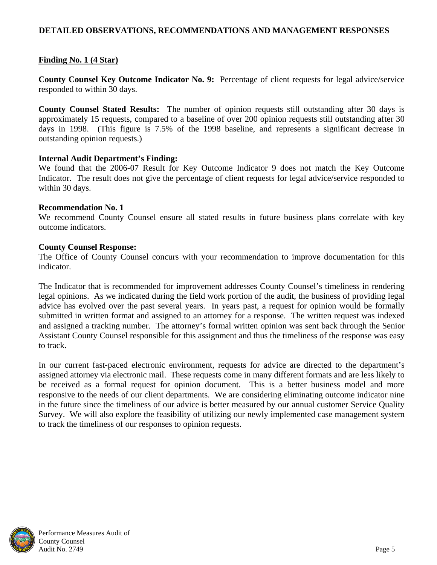## <span id="page-8-0"></span>**DETAILED OBSERVATIONS, RECOMMENDATIONS AND MANAGEMENT RESPONSES**

# **Finding No. 1 (4 Star)**

**County Counsel Key Outcome Indicator No. 9:** Percentage of client requests for legal advice/service responded to within 30 days.

**County Counsel Stated Results:** The number of opinion requests still outstanding after 30 days is approximately 15 requests, compared to a baseline of over 200 opinion requests still outstanding after 30 days in 1998. (This figure is 7.5% of the 1998 baseline, and represents a significant decrease in outstanding opinion requests.)

## **Internal Audit Department's Finding:**

We found that the 2006-07 Result for Key Outcome Indicator 9 does not match the Key Outcome Indicator. The result does not give the percentage of client requests for legal advice/service responded to within 30 days.

## **Recommendation No. 1**

We recommend County Counsel ensure all stated results in future business plans correlate with key outcome indicators.

## **County Counsel Response:**

The Office of County Counsel concurs with your recommendation to improve documentation for this indicator.

The Indicator that is recommended for improvement addresses County Counsel's timeliness in rendering legal opinions. As we indicated during the field work portion of the audit, the business of providing legal advice has evolved over the past several years. In years past, a request for opinion would be formally submitted in written format and assigned to an attorney for a response. The written request was indexed and assigned a tracking number. The attorney's formal written opinion was sent back through the Senior Assistant County Counsel responsible for this assignment and thus the timeliness of the response was easy to track.

In our current fast-paced electronic environment, requests for advice are directed to the department's assigned attorney via electronic mail. These requests come in many different formats and are less likely to be received as a formal request for opinion document. This is a better business model and more responsive to the needs of our client departments. We are considering eliminating outcome indicator nine in the future since the timeliness of our advice is better measured by our annual customer Service Quality Survey. We will also explore the feasibility of utilizing our newly implemented case management system to track the timeliness of our responses to opinion requests.